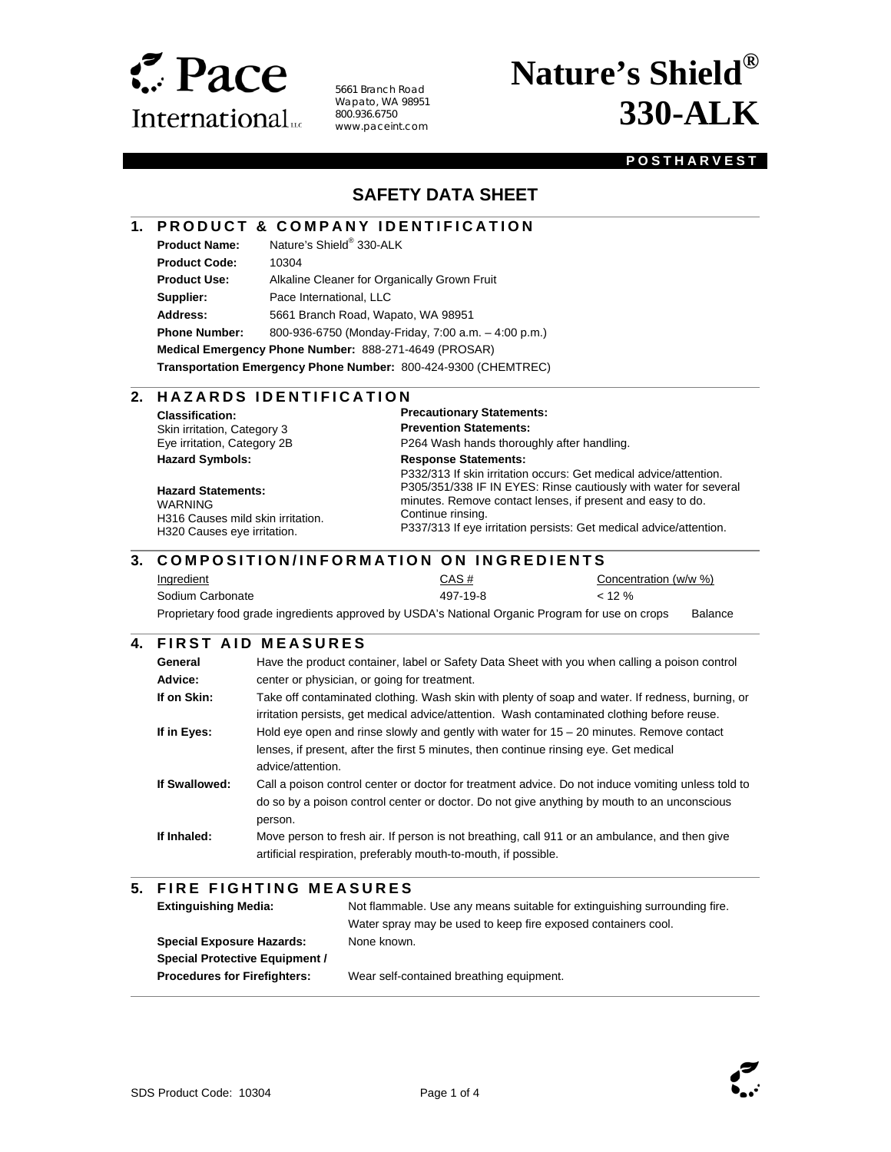

5661 Branch Road Wapato, WA 98951 800.936.6750 www.paceint.com

# **Nature's Shield® 330-ALK**

#### **POSTHARVEST**

### **SAFETY DATA SHEET**

#### **1. PRODUCT & COMPANY IDENTIFICATION**

**Product Name:** Nature's Shield® 330-ALK

l

 $\overline{a}$ 

l

 $\overline{\phantom{a}}$ 

 $\overline{\phantom{a}}$ 

**Product Code:** 10304

**Product Use:** Alkaline Cleaner for Organically Grown Fruit **Supplier:** Pace International, LLC

**Address:** 5661 Branch Road, Wapato, WA 98951

**Phone Number:** 800-936-6750 (Monday-Friday, 7:00 a.m. – 4:00 p.m.)

**Medical Emergency Phone Number:** 888-271-4649 (PROSAR)

**Transportation Emergency Phone Number:** 800-424-9300 (CHEMTREC)

#### 2. HAZARDS IDENTIFICATION

**Classification:**  Skin irritation, Category 3 Eye irritation, Category 2B **Hazard Symbols:** 

**Hazard Statements:**  WARNING H316 Causes mild skin irritation. H320 Causes eye irritation.

**Precautionary Statements: Prevention Statements:**  P264 Wash hands thoroughly after handling. **Response Statements:** 

P332/313 If skin irritation occurs: Get medical advice/attention. P305/351/338 IF IN EYES: Rinse cautiously with water for several minutes. Remove contact lenses, if present and easy to do. Continue rinsing.

P337/313 If eye irritation persists: Get medical advice/attention.

#### $\overline{\phantom{a}}$ **3. COMPOSITION/INFORMATION ON INGREDIENTS**

| <b>Ingredient</b>                                                                               | CAS#     | Concentration (w/w %) |         |
|-------------------------------------------------------------------------------------------------|----------|-----------------------|---------|
| Sodium Carbonate                                                                                | 497-19-8 | $< 12 \%$             |         |
| Proprietary food grade ingredients approved by USDA's National Organic Program for use on crops |          |                       | Balance |

#### **4. FIRST AID MEASURES**

| General<br>Advice: | Have the product container, label or Safety Data Sheet with you when calling a poison control<br>center or physician, or going for treatment.                                                                |
|--------------------|--------------------------------------------------------------------------------------------------------------------------------------------------------------------------------------------------------------|
| If on Skin:        | Take off contaminated clothing. Wash skin with plenty of soap and water. If redness, burning, or<br>irritation persists, get medical advice/attention. Wash contaminated clothing before reuse.              |
| If in Eyes:        | Hold eye open and rinse slowly and gently with water for $15 - 20$ minutes. Remove contact<br>lenses, if present, after the first 5 minutes, then continue rinsing eye. Get medical<br>advice/attention.     |
| If Swallowed:      | Call a poison control center or doctor for treatment advice. Do not induce vomiting unless told to<br>do so by a poison control center or doctor. Do not give anything by mouth to an unconscious<br>person. |
| If Inhaled:        | Move person to fresh air. If person is not breathing, call 911 or an ambulance, and then give<br>artificial respiration, preferably mouth-to-mouth, if possible.                                             |

#### **5. FIRE FIGHTING MEASURES**

| <b>Extinguishing Media:</b>           | Not flammable. Use any means suitable for extinguishing surrounding fire. |
|---------------------------------------|---------------------------------------------------------------------------|
|                                       | Water spray may be used to keep fire exposed containers cool.             |
| <b>Special Exposure Hazards:</b>      | None known.                                                               |
| <b>Special Protective Equipment /</b> |                                                                           |
| <b>Procedures for Firefighters:</b>   | Wear self-contained breathing equipment.                                  |



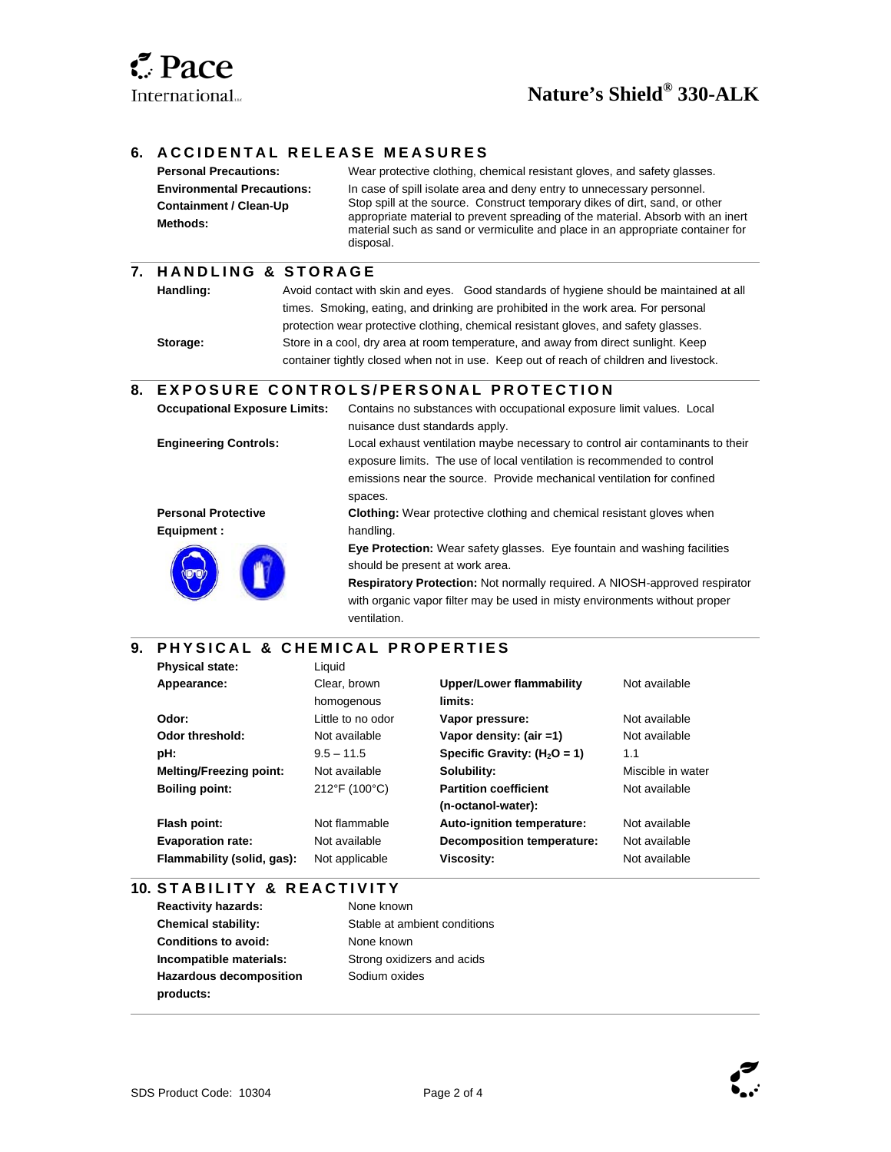$\overline{\phantom{a}}$ 

l

 $\overline{\phantom{a}}$ 

l

 $\overline{\phantom{a}}$ 

#### **6. ACCIDENTAL RELEASE MEASURES**

| <b>Personal Precautions:</b>              | Wear protective clothing, chemical resistant gloves, and safety glasses.                                                                                                                                                                                      |
|-------------------------------------------|---------------------------------------------------------------------------------------------------------------------------------------------------------------------------------------------------------------------------------------------------------------|
| <b>Environmental Precautions:</b>         | In case of spill isolate area and deny entry to unnecessary personnel.                                                                                                                                                                                        |
| <b>Containment / Clean-Up</b><br>Methods: | Stop spill at the source. Construct temporary dikes of dirt, sand, or other<br>appropriate material to prevent spreading of the material. Absorb with an inert<br>material such as sand or vermiculite and place in an appropriate container for<br>disposal. |

#### **7. H A N D L I N G & S T O R A G E**

| Handling: | Avoid contact with skin and eyes. Good standards of hygiene should be maintained at all |
|-----------|-----------------------------------------------------------------------------------------|
|           | times. Smoking, eating, and drinking are prohibited in the work area. For personal      |
|           | protection wear protective clothing, chemical resistant gloves, and safety glasses.     |
| Storage:  | Store in a cool, dry area at room temperature, and away from direct sunlight. Keep      |
|           | container tightly closed when not in use. Keep out of reach of children and livestock.  |

#### **8. EXPOSURE CONTROLS/PERSONAL PROTECTION**

| <b>Occupational Exposure Limits:</b> | Contains no substances with occupational exposure limit values. Local                                                                                                                                                                                                                                 |
|--------------------------------------|-------------------------------------------------------------------------------------------------------------------------------------------------------------------------------------------------------------------------------------------------------------------------------------------------------|
|                                      | nuisance dust standards apply.                                                                                                                                                                                                                                                                        |
| <b>Engineering Controls:</b>         | Local exhaust ventilation maybe necessary to control air contaminants to their<br>exposure limits. The use of local ventilation is recommended to control<br>emissions near the source. Provide mechanical ventilation for confined<br>spaces.                                                        |
| <b>Personal Protective</b>           | <b>Clothing:</b> Wear protective clothing and chemical resistant gloves when                                                                                                                                                                                                                          |
| Equipment :                          | handling.                                                                                                                                                                                                                                                                                             |
|                                      | <b>Eye Protection:</b> Wear safety glasses. Eye fountain and washing facilities<br>should be present at work area.<br><b>Respiratory Protection:</b> Not normally required. A NIOSH-approved respirator<br>with organic vapor filter may be used in misty environments without proper<br>ventilation. |

#### **9. PHYSICAL & CHEMICAL PROPERTIES**

| <b>Physical state:</b>         | Liquid            |                                   |                   |
|--------------------------------|-------------------|-----------------------------------|-------------------|
| Appearance:                    | Clear, brown      | <b>Upper/Lower flammability</b>   | Not available     |
|                                | homogenous        | limits:                           |                   |
| Odor:                          | Little to no odor | Vapor pressure:                   | Not available     |
| Odor threshold:                | Not available     | Vapor density: (air =1)           | Not available     |
| pH:                            | $9.5 - 11.5$      | Specific Gravity: $(H2O = 1)$     | 1.1               |
| <b>Melting/Freezing point:</b> | Not available     | Solubility:                       | Miscible in water |
| <b>Boiling point:</b>          | 212°F (100°C)     | <b>Partition coefficient</b>      | Not available     |
|                                |                   | (n-octanol-water):                |                   |
| Flash point:                   | Not flammable     | Auto-ignition temperature:        | Not available     |
| <b>Evaporation rate:</b>       | Not available     | <b>Decomposition temperature:</b> | Not available     |
| Flammability (solid, gas):     | Not applicable    | Viscosity:                        | Not available     |
|                                |                   |                                   |                   |

#### **10. STABILITY & REACTIVITY**

**Reactivity hazards:** None known **Chemical stability:** Stable at ambient conditions **Conditions to avoid:** None known **Incompatible materials:** Strong oxidizers and acids **Hazardous decomposition products:** 

Sodium oxides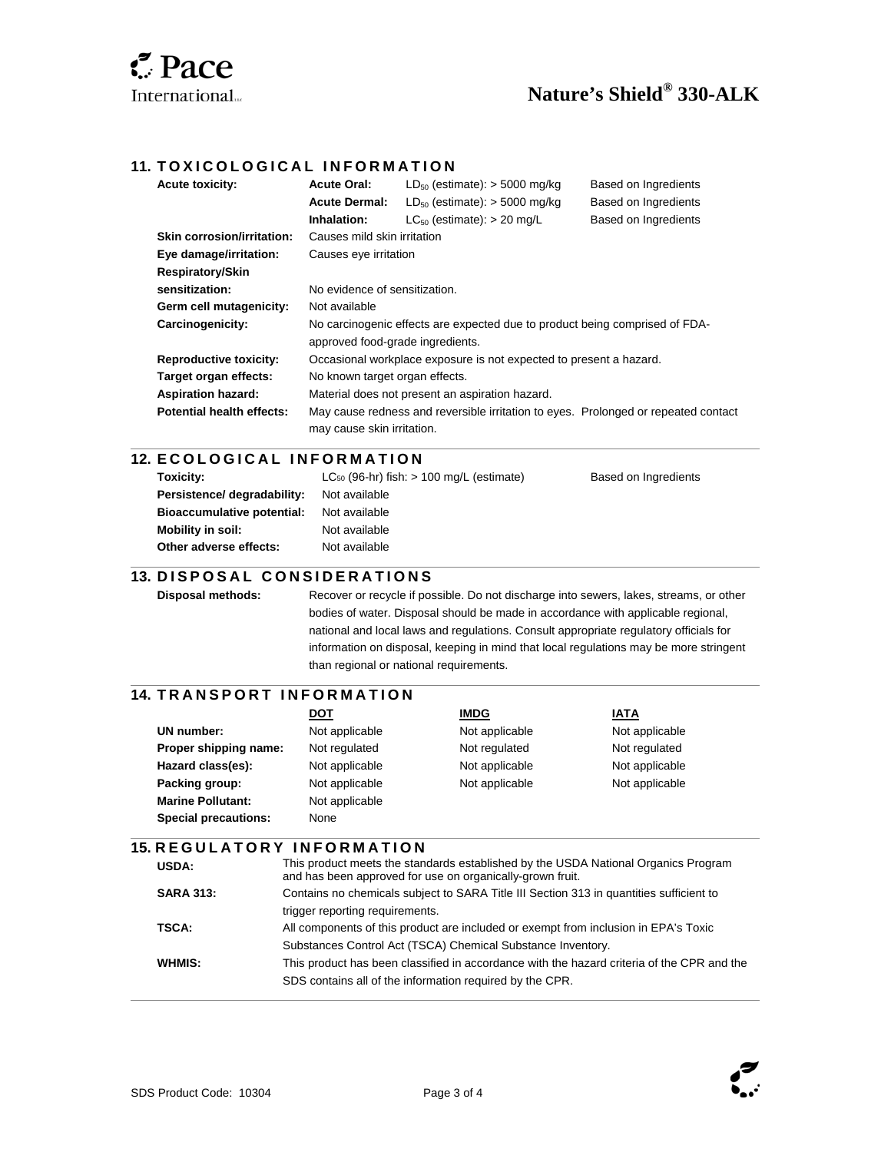## **Nature's Shield® 330-ALK**

#### **11. TOXICOLOGICAL INFORMATION**

| <b>Acute toxicity:</b>            | <b>Acute Oral:</b>                                                          | $LD_{50}$ (estimate): > 5000 mg/kg                                                 | Based on Ingredients |
|-----------------------------------|-----------------------------------------------------------------------------|------------------------------------------------------------------------------------|----------------------|
|                                   | <b>Acute Dermal:</b>                                                        | $LD_{50}$ (estimate): > 5000 mg/kg                                                 | Based on Ingredients |
|                                   | Inhalation:                                                                 | $LC_{50}$ (estimate): $> 20$ mg/L                                                  | Based on Ingredients |
| <b>Skin corrosion/irritation:</b> | Causes mild skin irritation                                                 |                                                                                    |                      |
| Eye damage/irritation:            | Causes eye irritation                                                       |                                                                                    |                      |
| Respiratory/Skin                  |                                                                             |                                                                                    |                      |
| sensitization:                    | No evidence of sensitization.                                               |                                                                                    |                      |
| Germ cell mutagenicity:           | Not available                                                               |                                                                                    |                      |
| Carcinogenicity:                  | No carcinogenic effects are expected due to product being comprised of FDA- |                                                                                    |                      |
|                                   | approved food-grade ingredients.                                            |                                                                                    |                      |
| <b>Reproductive toxicity:</b>     | Occasional workplace exposure is not expected to present a hazard.          |                                                                                    |                      |
| Target organ effects:             | No known target organ effects.                                              |                                                                                    |                      |
| <b>Aspiration hazard:</b>         |                                                                             | Material does not present an aspiration hazard.                                    |                      |
| <b>Potential health effects:</b>  |                                                                             | May cause redness and reversible irritation to eyes. Prolonged or repeated contact |                      |
|                                   | may cause skin irritation.                                                  |                                                                                    |                      |

#### **12. ECOLOGICAL INFORMATION**

| Toxicity:                         | $LC_{50}$ (96-hr) fish: $> 100$ mg/L (estimate) | Based on Ingredients |
|-----------------------------------|-------------------------------------------------|----------------------|
| Persistence/ degradability:       | Not available                                   |                      |
| <b>Bioaccumulative potential:</b> | Not available                                   |                      |
| Mobility in soil:                 | Not available                                   |                      |
| Other adverse effects:            | Not available                                   |                      |
|                                   |                                                 |                      |

#### **13. DISPOSAL CONSIDERATIONS**

l

 $\overline{a}$ 

l

 $\overline{\phantom{a}}$ 

l

**Disposal methods:** Recover or recycle if possible. Do not discharge into sewers, lakes, streams, or other bodies of water. Disposal should be made in accordance with applicable regional, national and local laws and regulations. Consult appropriate regulatory officials for information on disposal, keeping in mind that local regulations may be more stringent than regional or national requirements.

#### **14. TRANSPORT INFORMATION**

|                             | DOT            | <b>IMDG</b>    | <b>IATA</b>    |
|-----------------------------|----------------|----------------|----------------|
| UN number:                  | Not applicable | Not applicable | Not applicable |
| Proper shipping name:       | Not regulated  | Not regulated  | Not regulated  |
| Hazard class(es):           | Not applicable | Not applicable | Not applicable |
| Packing group:              | Not applicable | Not applicable | Not applicable |
| <b>Marine Pollutant:</b>    | Not applicable |                |                |
| <b>Special precautions:</b> | None           |                |                |

#### **15. REGULATORY INFORMATION**

| USDA:            | This product meets the standards established by the USDA National Organics Program<br>and has been approved for use on organically-grown fruit. |
|------------------|-------------------------------------------------------------------------------------------------------------------------------------------------|
| <b>SARA 313:</b> | Contains no chemicals subject to SARA Title III Section 313 in quantities sufficient to                                                         |
|                  | trigger reporting requirements.                                                                                                                 |
| TSCA:            | All components of this product are included or exempt from inclusion in EPA's Toxic                                                             |
|                  | Substances Control Act (TSCA) Chemical Substance Inventory.                                                                                     |
| WHMIS:           | This product has been classified in accordance with the hazard criteria of the CPR and the                                                      |
|                  | SDS contains all of the information required by the CPR.                                                                                        |
|                  |                                                                                                                                                 |